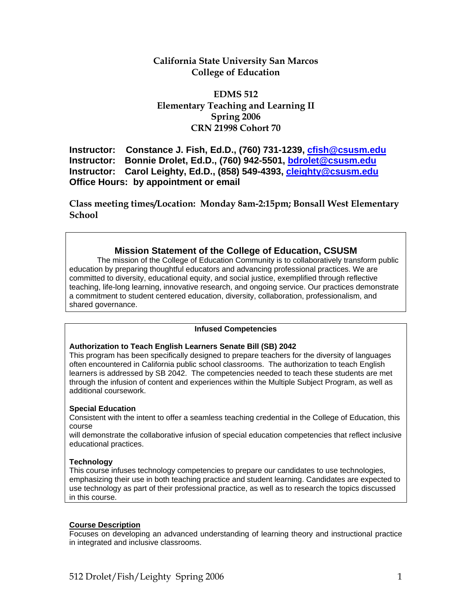# **California State University San Marcos College of Education**

# **EDMS 512 Elementary Teaching and Learning II Spring 2006 CRN 21998 Cohort 70**

**Instructor: Constance J. Fish, Ed.D., (760) 731-1239, cfish@csusm.edu Instructor: Bonnie Drolet, Ed.D., (760) 942-5501, bdrolet@csusm.edu Instructor: Carol Leighty, Ed.D., (858) 549-4393, cleighty@csusm.edu Office Hours: by appointment or email** 

**Class meeting times/Location: Monday 8am-2:15pm; Bonsall West Elementary School**

# **Mission Statement of the College of Education, CSUSM**

The mission of the College of Education Community is to collaboratively transform public education by preparing thoughtful educators and advancing professional practices. We are committed to diversity, educational equity, and social justice, exemplified through reflective teaching, life-long learning, innovative research, and ongoing service. Our practices demonstrate a commitment to student centered education, diversity, collaboration, professionalism, and shared governance.

## **Infused Competencies**

## **Authorization to Teach English Learners Senate Bill (SB) 2042**

This program has been specifically designed to prepare teachers for the diversity of languages often encountered in California public school classrooms. The authorization to teach English learners is addressed by SB 2042. The competencies needed to teach these students are met through the infusion of content and experiences within the Multiple Subject Program, as well as additional coursework.

#### **Special Education**

Consistent with the intent to offer a seamless teaching credential in the College of Education, this course

will demonstrate the collaborative infusion of special education competencies that reflect inclusive educational practices.

#### **Technology**

This course infuses technology competencies to prepare our candidates to use technologies, emphasizing their use in both teaching practice and student learning. Candidates are expected to use technology as part of their professional practice, as well as to research the topics discussed in this course.

#### **Course Description**

Focuses on developing an advanced understanding of learning theory and instructional practice in integrated and inclusive classrooms.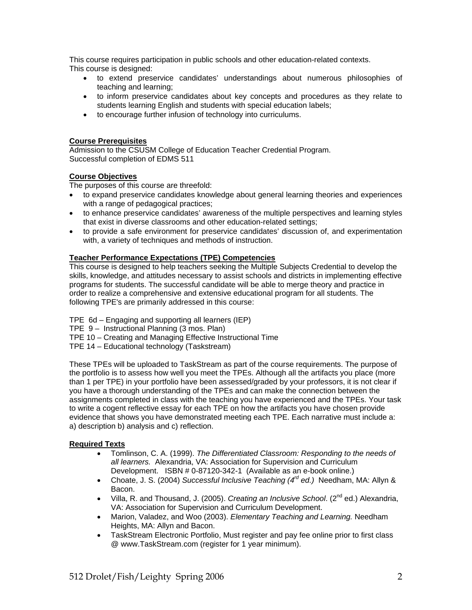This course requires participation in public schools and other education-related contexts. This course is designed:

- to extend preservice candidates' understandings about numerous philosophies of teaching and learning;
- to inform preservice candidates about key concepts and procedures as they relate to students learning English and students with special education labels;
- to encourage further infusion of technology into curriculums.

## **Course Prerequisites**

Admission to the CSUSM College of Education Teacher Credential Program. Successful completion of EDMS 511

## **Course Objectives**

The purposes of this course are threefold:

- to expand preservice candidates knowledge about general learning theories and experiences with a range of pedagogical practices;
- to enhance preservice candidates' awareness of the multiple perspectives and learning styles that exist in diverse classrooms and other education-related settings;
- to provide a safe environment for preservice candidates' discussion of, and experimentation with, a variety of techniques and methods of instruction.

## **Teacher Performance Expectations (TPE) Competencies**

This course is designed to help teachers seeking the Multiple Subjects Credential to develop the skills, knowledge, and attitudes necessary to assist schools and districts in implementing effective programs for students. The successful candidate will be able to merge theory and practice in order to realize a comprehensive and extensive educational program for all students. The following TPE's are primarily addressed in this course:

- TPE 6d Engaging and supporting all learners (IEP)
- TPE 9 Instructional Planning (3 mos. Plan)
- TPE 10 Creating and Managing Effective Instructional Time
- TPE 14 Educational technology (Taskstream)

These TPEs will be uploaded to TaskStream as part of the course requirements. The purpose of the portfolio is to assess how well you meet the TPEs. Although all the artifacts you place (more than 1 per TPE) in your portfolio have been assessed/graded by your professors, it is not clear if you have a thorough understanding of the TPEs and can make the connection between the assignments completed in class with the teaching you have experienced and the TPEs. Your task to write a cogent reflective essay for each TPE on how the artifacts you have chosen provide evidence that shows you have demonstrated meeting each TPE. Each narrative must include a: a) description b) analysis and c) reflection.

## **Required Texts**

- Tomlinson, C. A. (1999). *The Differentiated Classroom: Responding to the needs of all learners.* Alexandria, VA: Association for Supervision and Curriculum Development. ISBN # 0-87120-342-1 (Available as an e-book online.)
- Choate, J. S. (2004) *Successful Inclusive Teaching (4rd ed.)* Needham, MA: Allyn & Bacon.
- Villa, R. and Thousand, J. (2005). *Creating an Inclusive School*. (2nd ed.) Alexandria, VA: Association for Supervision and Curriculum Development.
- Marion, Valadez, and Woo (2003). *Elementary Teaching and Learning.* Needham Heights, MA: Allyn and Bacon.
- TaskStream Electronic Portfolio, Must register and pay fee online prior to first class @ www.TaskStream.com (register for 1 year minimum).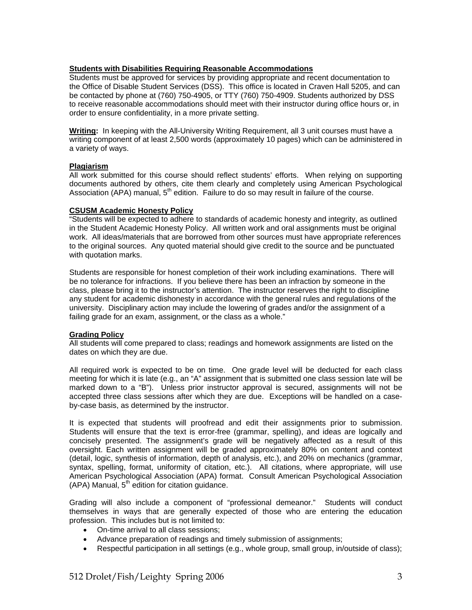#### **Students with Disabilities Requiring Reasonable Accommodations**

Students must be approved for services by providing appropriate and recent documentation to the Office of Disable Student Services (DSS). This office is located in Craven Hall 5205, and can be contacted by phone at (760) 750-4905, or TTY (760) 750-4909. Students authorized by DSS to receive reasonable accommodations should meet with their instructor during office hours or, in order to ensure confidentiality, in a more private setting.

**Writing:** In keeping with the All-University Writing Requirement, all 3 unit courses must have a writing component of at least 2,500 words (approximately 10 pages) which can be administered in a variety of ways.

#### **Plagiarism**

All work submitted for this course should reflect students' efforts. When relying on supporting documents authored by others, cite them clearly and completely using American Psychological Association (APA) manual, 5<sup>th</sup> edition. Failure to do so may result in failure of the course.

#### **CSUSM Academic Honesty Policy**

"Students will be expected to adhere to standards of academic honesty and integrity, as outlined in the Student Academic Honesty Policy. All written work and oral assignments must be original work. All ideas/materials that are borrowed from other sources must have appropriate references to the original sources. Any quoted material should give credit to the source and be punctuated with quotation marks.

Students are responsible for honest completion of their work including examinations. There will be no tolerance for infractions. If you believe there has been an infraction by someone in the class, please bring it to the instructor's attention. The instructor reserves the right to discipline any student for academic dishonesty in accordance with the general rules and regulations of the university. Disciplinary action may include the lowering of grades and/or the assignment of a failing grade for an exam, assignment, or the class as a whole."

## **Grading Policy**

All students will come prepared to class; readings and homework assignments are listed on the dates on which they are due.

All required work is expected to be on time. One grade level will be deducted for each class meeting for which it is late (e.g., an "A" assignment that is submitted one class session late will be marked down to a "B"). Unless prior instructor approval is secured, assignments will not be accepted three class sessions after which they are due. Exceptions will be handled on a caseby-case basis, as determined by the instructor.

It is expected that students will proofread and edit their assignments prior to submission. Students will ensure that the text is error-free (grammar, spelling), and ideas are logically and concisely presented. The assignment's grade will be negatively affected as a result of this oversight. Each written assignment will be graded approximately 80% on content and context (detail, logic, synthesis of information, depth of analysis, etc.), and 20% on mechanics (grammar, syntax, spelling, format, uniformity of citation, etc.). All citations, where appropriate, will use American Psychological Association (APA) format. Consult American Psychological Association  $(APA)$  Manual,  $5<sup>th</sup>$  edition for citation guidance.

Grading will also include a component of "professional demeanor." Students will conduct themselves in ways that are generally expected of those who are entering the education profession. This includes but is not limited to:

- On-time arrival to all class sessions;
- Advance preparation of readings and timely submission of assignments;
- Respectful participation in all settings (e.g., whole group, small group, in/outside of class);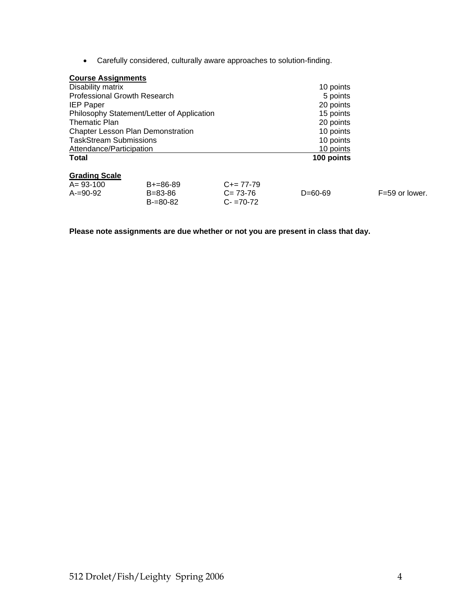• Carefully considered, culturally aware approaches to solution-finding.

| Disability matrix                          |               |             | 10 points  |                  |  |
|--------------------------------------------|---------------|-------------|------------|------------------|--|
| <b>Professional Growth Research</b>        |               |             | 5 points   |                  |  |
| <b>IEP Paper</b>                           |               |             | 20 points  |                  |  |
| Philosophy Statement/Letter of Application |               |             | 15 points  |                  |  |
| <b>Thematic Plan</b>                       |               |             | 20 points  |                  |  |
| <b>Chapter Lesson Plan Demonstration</b>   |               |             | 10 points  |                  |  |
| <b>TaskStream Submissions</b>              |               |             | 10 points  |                  |  |
| Attendance/Participation                   |               |             | 10 points  |                  |  |
| <b>Total</b>                               |               |             | 100 points |                  |  |
| <b>Grading Scale</b>                       |               |             |            |                  |  |
| $A = 93 - 100$                             | $B+=86-89$    | $C+= 77-79$ |            |                  |  |
| $A = 90 - 92$                              | $B = 83 - 86$ | $C = 73-76$ | $D=60-69$  | $F=59$ or lower. |  |
|                                            | $B = 80 - 82$ | $C = 70-72$ |            |                  |  |

**Please note assignments are due whether or not you are present in class that day.**